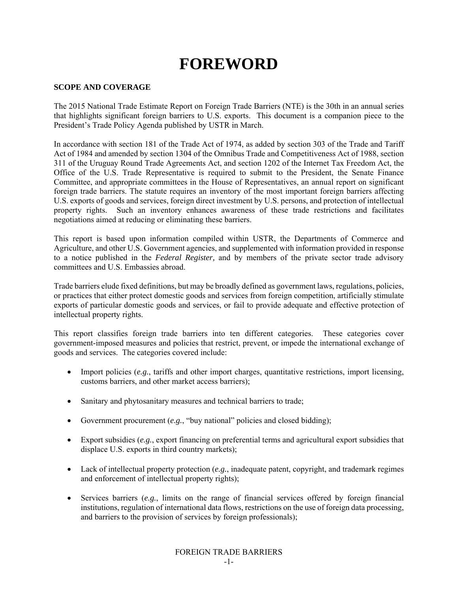# **FOREWORD**

## **SCOPE AND COVERAGE**

The 2015 National Trade Estimate Report on Foreign Trade Barriers (NTE) is the 30th in an annual series that highlights significant foreign barriers to U.S. exports. This document is a companion piece to the President's Trade Policy Agenda published by USTR in March.

In accordance with section 181 of the Trade Act of 1974, as added by section 303 of the Trade and Tariff Act of 1984 and amended by section 1304 of the Omnibus Trade and Competitiveness Act of 1988, section 311 of the Uruguay Round Trade Agreements Act, and section 1202 of the Internet Tax Freedom Act, the Office of the U.S. Trade Representative is required to submit to the President, the Senate Finance Committee, and appropriate committees in the House of Representatives, an annual report on significant foreign trade barriers. The statute requires an inventory of the most important foreign barriers affecting U.S. exports of goods and services, foreign direct investment by U.S. persons, and protection of intellectual property rights. Such an inventory enhances awareness of these trade restrictions and facilitates negotiations aimed at reducing or eliminating these barriers.

This report is based upon information compiled within USTR, the Departments of Commerce and Agriculture, and other U.S. Government agencies, and supplemented with information provided in response to a notice published in the *Federal Register,* and by members of the private sector trade advisory committees and U.S. Embassies abroad.

Trade barriers elude fixed definitions, but may be broadly defined as government laws, regulations, policies, or practices that either protect domestic goods and services from foreign competition, artificially stimulate exports of particular domestic goods and services, or fail to provide adequate and effective protection of intellectual property rights.

This report classifies foreign trade barriers into ten different categories. These categories cover government-imposed measures and policies that restrict, prevent, or impede the international exchange of goods and services. The categories covered include:

- Import policies (*e.g.*, tariffs and other import charges, quantitative restrictions, import licensing, customs barriers, and other market access barriers);
- Sanitary and phytosanitary measures and technical barriers to trade;
- Government procurement (*e.g.*, "buy national" policies and closed bidding);
- Export subsidies (*e.g.*, export financing on preferential terms and agricultural export subsidies that displace U.S. exports in third country markets);
- Lack of intellectual property protection (*e.g.*, inadequate patent, copyright, and trademark regimes and enforcement of intellectual property rights);
- Services barriers (*e.g.*, limits on the range of financial services offered by foreign financial institutions, regulation of international data flows, restrictions on the use of foreign data processing, and barriers to the provision of services by foreign professionals);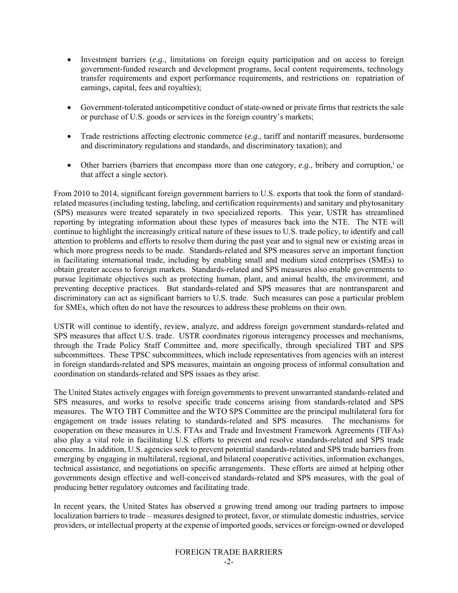- Investment barriers (*e.g.*, limitations on foreign equity participation and on access to foreign government-funded research and development programs, local content requirements, technology transfer requirements and export performance requirements, and restrictions on repatriation of earnings, capital, fees and royalties);
- Government-tolerated anticompetitive conduct of state-owned or private firms that restricts the sale or purchase of U.S. goods or services in the foreign country's markets;
- Trade restrictions affecting electronic commerce (*e.g.*, tariff and nontariff measures, burdensome and discriminatory regulations and standards, and discriminatory taxation); and
- $\bullet$  Other barriers (barriers that encompass more than one category, *e.g.*, bribery and corruption,<sup>i</sup> or that affect a single sector).

From 2010 to 2014, significant foreign government barriers to U.S. exports that took the form of standardrelated measures (including testing, labeling, and certification requirements) and sanitary and phytosanitary (SPS) measures were treated separately in two specialized reports. This year, USTR has streamlined reporting by integrating information about these types of measures back into the NTE. The NTE will continue to highlight the increasingly critical nature of these issues to U.S. trade policy, to identify and call attention to problems and efforts to resolve them during the past year and to signal new or existing areas in which more progress needs to be made. Standards-related and SPS measures serve an important function in facilitating international trade, including by enabling small and medium sized enterprises (SMEs) to obtain greater access to foreign markets. Standards-related and SPS measures also enable governments to pursue legitimate objectives such as protecting human, plant, and animal health, the environment, and preventing deceptive practices. But standards-related and SPS measures that are nontransparent and discriminatory can act as significant barriers to U.S. trade. Such measures can pose a particular problem for SMEs, which often do not have the resources to address these problems on their own.

USTR will continue to identify, review, analyze, and address foreign government standards-related and SPS measures that affect U.S. trade. USTR coordinates rigorous interagency processes and mechanisms, through the Trade Policy Staff Committee and, more specifically, through specialized TBT and SPS subcommittees. These TPSC subcommittees, which include representatives from agencies with an interest in foreign standards-related and SPS measures, maintain an ongoing process of informal consultation and coordination on standards-related and SPS issues as they arise.

The United States actively engages with foreign governments to prevent unwarranted standards-related and SPS measures, and works to resolve specific trade concerns arising from standards-related and SPS measures. The WTO TBT Committee and the WTO SPS Committee are the principal multilateral fora for engagement on trade issues relating to standards-related and SPS measures. The mechanisms for cooperation on these measures in U.S. FTAs and Trade and Investment Framework Agreements (TIFAs) also play a vital role in facilitating U.S. efforts to prevent and resolve standards-related and SPS trade concerns. In addition, U.S. agencies seek to prevent potential standards-related and SPS trade barriers from emerging by engaging in multilateral, regional, and bilateral cooperative activities, information exchanges, technical assistance, and negotiations on specific arrangements. These efforts are aimed at helping other governments design effective and well-conceived standards-related and SPS measures, with the goal of producing better regulatory outcomes and facilitating trade.

In recent years, the United States has observed a growing trend among our trading partners to impose localization barriers to trade – measures designed to protect, favor, or stimulate domestic industries, service providers, or intellectual property at the expense of imported goods, services or foreign-owned or developed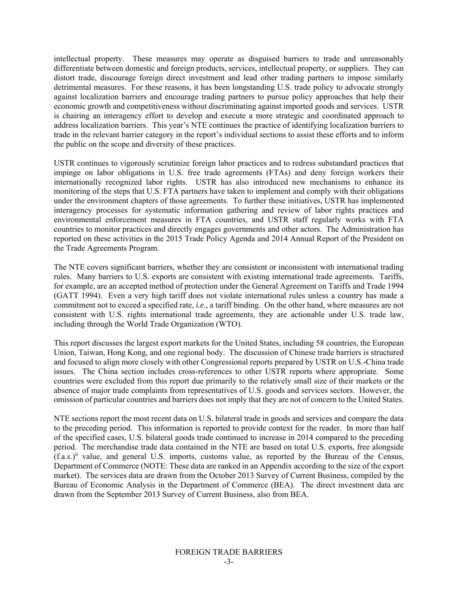intellectual property. These measures may operate as disguised barriers to trade and unreasonably differentiate between domestic and foreign products, services, intellectual property, or suppliers. They can distort trade, discourage foreign direct investment and lead other trading partners to impose similarly detrimental measures. For these reasons, it has been longstanding U.S. trade policy to advocate strongly against localization barriers and encourage trading partners to pursue policy approaches that help their economic growth and competitiveness without discriminating against imported goods and services. USTR is chairing an interagency effort to develop and execute a more strategic and coordinated approach to address localization barriers. This year's NTE continues the practice of identifying localization barriers to trade in the relevant barrier category in the report's individual sections to assist these efforts and to inform the public on the scope and diversity of these practices.

USTR continues to vigorously scrutinize foreign labor practices and to redress substandard practices that impinge on labor obligations in U.S. free trade agreements (FTAs) and deny foreign workers their internationally recognized labor rights. USTR has also introduced new mechanisms to enhance its monitoring of the steps that U.S. FTA partners have taken to implement and comply with their obligations under the environment chapters of those agreements. To further these initiatives, USTR has implemented interagency processes for systematic information gathering and review of labor rights practices and environmental enforcement measures in FTA countries, and USTR staff regularly works with FTA countries to monitor practices and directly engages governments and other actors. The Administration has reported on these activities in the 2015 Trade Policy Agenda and 2014 Annual Report of the President on the Trade Agreements Program.

The NTE covers significant barriers, whether they are consistent or inconsistent with international trading rules. Many barriers to U.S. exports are consistent with existing international trade agreements. Tariffs, for example, are an accepted method of protection under the General Agreement on Tariffs and Trade 1994 (GATT 1994). Even a very high tariff does not violate international rules unless a country has made a commitment not to exceed a specified rate, *i.e.,* a tariff binding. On the other hand, where measures are not consistent with U.S. rights international trade agreements, they are actionable under U.S. trade law, including through the World Trade Organization (WTO).

This report discusses the largest export markets for the United States, including 58 countries, the European Union, Taiwan, Hong Kong, and one regional body. The discussion of Chinese trade barriers is structured and focused to align more closely with other Congressional reports prepared by USTR on U.S.-China trade issues. The China section includes cross-references to other USTR reports where appropriate. Some countries were excluded from this report due primarily to the relatively small size of their markets or the absence of major trade complaints from representatives of U.S. goods and services sectors. However, the omission of particular countries and barriers does not imply that they are not of concern to the United States.

NTE sections report the most recent data on U.S. bilateral trade in goods and services and compare the data to the preceding period. This information is reported to provide context for the reader. In more than half of the specified cases, U.S. bilateral goods trade continued to increase in 2014 compared to the preceding period. The merchandise trade data contained in the NTE are based on total U.S. exports, free alongside  $(f.a.s.)<sup>ii</sup>$  value, and general U.S. imports, customs value, as reported by the Bureau of the Census, Department of Commerce (NOTE: These data are ranked in an Appendix according to the size of the export market). The services data are drawn from the October 2013 Survey of Current Business, compiled by the Bureau of Economic Analysis in the Department of Commerce (BEA). The direct investment data are drawn from the September 2013 Survey of Current Business, also from BEA.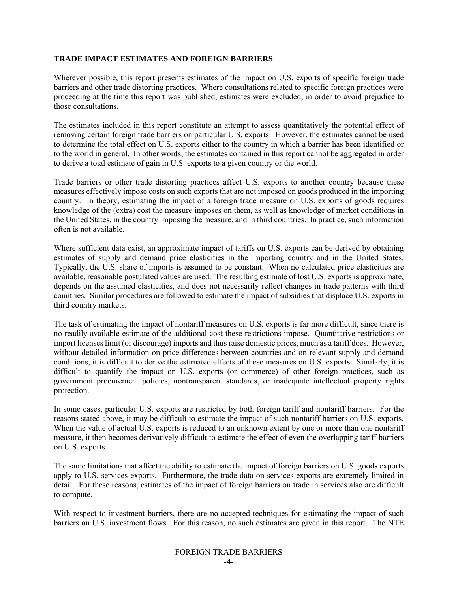### **TRADE IMPACT ESTIMATES AND FOREIGN BARRIERS**

Wherever possible, this report presents estimates of the impact on U.S. exports of specific foreign trade barriers and other trade distorting practices. Where consultations related to specific foreign practices were proceeding at the time this report was published, estimates were excluded, in order to avoid prejudice to those consultations.

The estimates included in this report constitute an attempt to assess quantitatively the potential effect of removing certain foreign trade barriers on particular U.S. exports. However, the estimates cannot be used to determine the total effect on U.S. exports either to the country in which a barrier has been identified or to the world in general. In other words, the estimates contained in this report cannot be aggregated in order to derive a total estimate of gain in U.S. exports to a given country or the world.

Trade barriers or other trade distorting practices affect U.S. exports to another country because these measures effectively impose costs on such exports that are not imposed on goods produced in the importing country. In theory, estimating the impact of a foreign trade measure on U.S. exports of goods requires knowledge of the (extra) cost the measure imposes on them, as well as knowledge of market conditions in the United States, in the country imposing the measure, and in third countries. In practice, such information often is not available.

Where sufficient data exist, an approximate impact of tariffs on U.S. exports can be derived by obtaining estimates of supply and demand price elasticities in the importing country and in the United States. Typically, the U.S. share of imports is assumed to be constant. When no calculated price elasticities are available, reasonable postulated values are used. The resulting estimate of lost U.S. exports is approximate, depends on the assumed elasticities, and does not necessarily reflect changes in trade patterns with third countries. Similar procedures are followed to estimate the impact of subsidies that displace U.S. exports in third country markets.

The task of estimating the impact of nontariff measures on U.S. exports is far more difficult, since there is no readily available estimate of the additional cost these restrictions impose. Quantitative restrictions or import licenses limit (or discourage) imports and thus raise domestic prices, much as a tariff does. However, without detailed information on price differences between countries and on relevant supply and demand conditions, it is difficult to derive the estimated effects of these measures on U.S. exports. Similarly, it is difficult to quantify the impact on U.S. exports (or commerce) of other foreign practices, such as government procurement policies, nontransparent standards, or inadequate intellectual property rights protection.

In some cases, particular U.S. exports are restricted by both foreign tariff and nontariff barriers. For the reasons stated above, it may be difficult to estimate the impact of such nontariff barriers on U.S. exports. When the value of actual U.S. exports is reduced to an unknown extent by one or more than one nontariff measure, it then becomes derivatively difficult to estimate the effect of even the overlapping tariff barriers on U.S. exports.

The same limitations that affect the ability to estimate the impact of foreign barriers on U.S. goods exports apply to U.S. services exports. Furthermore, the trade data on services exports are extremely limited in detail. For these reasons, estimates of the impact of foreign barriers on trade in services also are difficult to compute.

With respect to investment barriers, there are no accepted techniques for estimating the impact of such barriers on U.S. investment flows. For this reason, no such estimates are given in this report. The NTE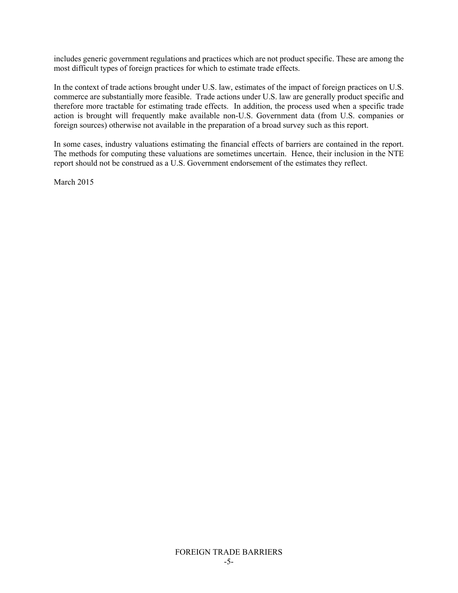includes generic government regulations and practices which are not product specific. These are among the most difficult types of foreign practices for which to estimate trade effects.

In the context of trade actions brought under U.S. law, estimates of the impact of foreign practices on U.S. commerce are substantially more feasible. Trade actions under U.S. law are generally product specific and therefore more tractable for estimating trade effects. In addition, the process used when a specific trade action is brought will frequently make available non-U.S. Government data (from U.S. companies or foreign sources) otherwise not available in the preparation of a broad survey such as this report.

In some cases, industry valuations estimating the financial effects of barriers are contained in the report. The methods for computing these valuations are sometimes uncertain. Hence, their inclusion in the NTE report should not be construed as a U.S. Government endorsement of the estimates they reflect.

March 2015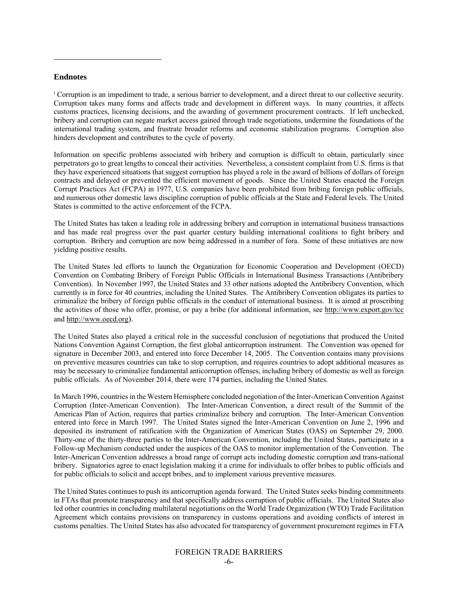#### **Endnotes**

l

i Corruption is an impediment to trade, a serious barrier to development, and a direct threat to our collective security. Corruption takes many forms and affects trade and development in different ways. In many countries, it affects customs practices, licensing decisions, and the awarding of government procurement contracts. If left unchecked, bribery and corruption can negate market access gained through trade negotiations, undermine the foundations of the international trading system, and frustrate broader reforms and economic stabilization programs. Corruption also hinders development and contributes to the cycle of poverty.

Information on specific problems associated with bribery and corruption is difficult to obtain, particularly since perpetrators go to great lengths to conceal their activities. Nevertheless, a consistent complaint from U.S. firms is that they have experienced situations that suggest corruption has played a role in the award of billions of dollars of foreign contracts and delayed or prevented the efficient movement of goods. Since the United States enacted the Foreign Corrupt Practices Act (FCPA) in 1977, U.S. companies have been prohibited from bribing foreign public officials, and numerous other domestic laws discipline corruption of public officials at the State and Federal levels. The United States is committed to the active enforcement of the FCPA.

The United States has taken a leading role in addressing bribery and corruption in international business transactions and has made real progress over the past quarter century building international coalitions to fight bribery and corruption. Bribery and corruption are now being addressed in a number of fora. Some of these initiatives are now yielding positive results.

The United States led efforts to launch the Organization for Economic Cooperation and Development (OECD) Convention on Combating Bribery of Foreign Public Officials in International Business Transactions (Antibribery Convention). In November 1997, the United States and 33 other nations adopted the Antibribery Convention, which currently is in force for 40 countries, including the United States. The Antibribery Convention obligates its parties to criminalize the bribery of foreign public officials in the conduct of international business. It is aimed at proscribing the activities of those who offer, promise, or pay a bribe (for additional information, see http://www.export.gov/tcc and http://www.oecd.org).

The United States also played a critical role in the successful conclusion of negotiations that produced the United Nations Convention Against Corruption, the first global anticorruption instrument. The Convention was opened for signature in December 2003, and entered into force December 14, 2005. The Convention contains many provisions on preventive measures countries can take to stop corruption, and requires countries to adopt additional measures as may be necessary to criminalize fundamental anticorruption offenses, including bribery of domestic as well as foreign public officials. As of November 2014, there were 174 parties, including the United States.

In March 1996, countries in the Western Hemisphere concluded negotiation of the Inter-American Convention Against Corruption (Inter-American Convention). The Inter-American Convention, a direct result of the Summit of the Americas Plan of Action, requires that parties criminalize bribery and corruption. The Inter-American Convention entered into force in March 1997. The United States signed the Inter-American Convention on June 2, 1996 and deposited its instrument of ratification with the Organization of American States (OAS) on September 29, 2000. Thirty-one of the thirty-three parties to the Inter-American Convention, including the United States, participate in a Follow-up Mechanism conducted under the auspices of the OAS to monitor implementation of the Convention. The Inter-American Convention addresses a broad range of corrupt acts including domestic corruption and trans-national bribery. Signatories agree to enact legislation making it a crime for individuals to offer bribes to public officials and for public officials to solicit and accept bribes, and to implement various preventive measures.

The United States continues to push its anticorruption agenda forward. The United States seeks binding commitments in FTAs that promote transparency and that specifically address corruption of public officials. The United States also led other countries in concluding multilateral negotiations on the World Trade Organization (WTO) Trade Facilitation Agreement which contains provisions on transparency in customs operations and avoiding conflicts of interest in customs penalties. The United States has also advocated for transparency of government procurement regimes in FTA

### FOREIGN TRADE BARRIERS